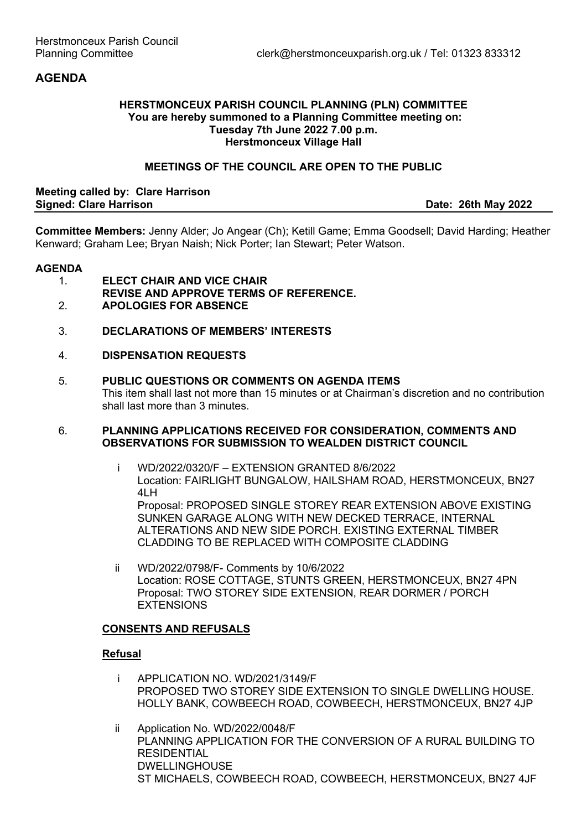# **AGENDA**

#### **HERSTMONCEUX PARISH COUNCIL PLANNING (PLN) COMMITTEE You are hereby summoned to a Planning Committee meeting on: Tuesday 7th June 2022 7.00 p.m. Herstmonceux Village Hall**

### **MEETINGS OF THE COUNCIL ARE OPEN TO THE PUBLIC**

#### **Meeting called by: Clare Harrison Signed: Clare Harrison Date: 26th May 2022**

**Committee Members:** Jenny Alder; Jo Angear (Ch); Ketill Game; Emma Goodsell; David Harding; Heather Kenward; Graham Lee; Bryan Naish; Nick Porter; Ian Stewart; Peter Watson.

#### **AGENDA**

- 1. **ELECT CHAIR AND VICE CHAIR**
- **REVISE AND APPROVE TERMS OF REFERENCE.**
- 2. **APOLOGIES FOR ABSENCE**
- 3. **DECLARATIONS OF MEMBERS' INTERESTS**

### 4. **DISPENSATION REQUESTS**

5. **PUBLIC QUESTIONS OR COMMENTS ON AGENDA ITEMS**  This item shall last not more than 15 minutes or at Chairman's discretion and no contribution shall last more than 3 minutes.

#### 6. **PLANNING APPLICATIONS RECEIVED FOR CONSIDERATION, COMMENTS AND OBSERVATIONS FOR SUBMISSION TO WEALDEN DISTRICT COUNCIL**

- i WD/2022/0320/F EXTENSION GRANTED 8/6/2022 Location: FAIRLIGHT BUNGALOW, HAILSHAM ROAD, HERSTMONCEUX, BN27 41 H Proposal: PROPOSED SINGLE STOREY REAR EXTENSION ABOVE EXISTING SUNKEN GARAGE ALONG WITH NEW DECKED TERRACE, INTERNAL ALTERATIONS AND NEW SIDE PORCH. EXISTING EXTERNAL TIMBER CLADDING TO BE REPLACED WITH COMPOSITE CLADDING
- ii WD/2022/0798/F- Comments by 10/6/2022 Location: ROSE COTTAGE, STUNTS GREEN, HERSTMONCEUX, BN27 4PN Proposal: TWO STOREY SIDE EXTENSION, REAR DORMER / PORCH EXTENSIONS

# **CONSENTS AND REFUSALS**

### **Refusal**

- i APPLICATION NO. WD/2021/3149/F PROPOSED TWO STOREY SIDE EXTENSION TO SINGLE DWELLING HOUSE. HOLLY BANK, COWBEECH ROAD, COWBEECH, HERSTMONCEUX, BN27 4JP
- ii Application No. WD/2022/0048/F PLANNING APPLICATION FOR THE CONVERSION OF A RURAL BUILDING TO **RESIDENTIAL** DWELLINGHOUSE ST MICHAELS, COWBEECH ROAD, COWBEECH, HERSTMONCEUX, BN27 4JF